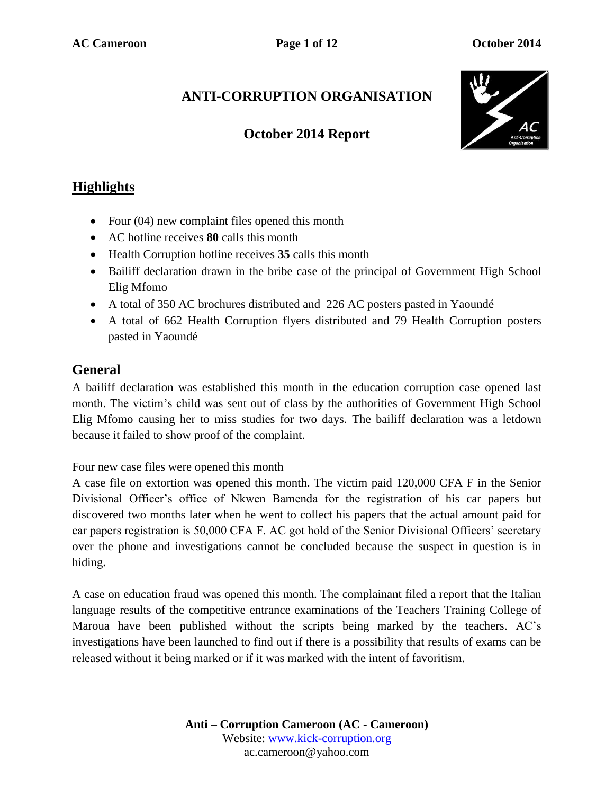# **ANTI-CORRUPTION ORGANISATION**

### **October 2014 Report**



## **Highlights**

- Four (04) new complaint files opened this month
- AC hotline receives **80** calls this month
- Health Corruption hotline receives **35** calls this month
- Bailiff declaration drawn in the bribe case of the principal of Government High School Elig Mfomo
- A total of 350 AC brochures distributed and 226 AC posters pasted in Yaoundé
- A total of 662 Health Corruption flyers distributed and 79 Health Corruption posters pasted in Yaoundé

#### **General**

A bailiff declaration was established this month in the education corruption case opened last month. The victim's child was sent out of class by the authorities of Government High School Elig Mfomo causing her to miss studies for two days. The bailiff declaration was a letdown because it failed to show proof of the complaint.

Four new case files were opened this month

A case file on extortion was opened this month. The victim paid 120,000 CFA F in the Senior Divisional Officer's office of Nkwen Bamenda for the registration of his car papers but discovered two months later when he went to collect his papers that the actual amount paid for car papers registration is 50,000 CFA F. AC got hold of the Senior Divisional Officers' secretary over the phone and investigations cannot be concluded because the suspect in question is in hiding.

A case on education fraud was opened this month. The complainant filed a report that the Italian language results of the competitive entrance examinations of the Teachers Training College of Maroua have been published without the scripts being marked by the teachers. AC's investigations have been launched to find out if there is a possibility that results of exams can be released without it being marked or if it was marked with the intent of favoritism.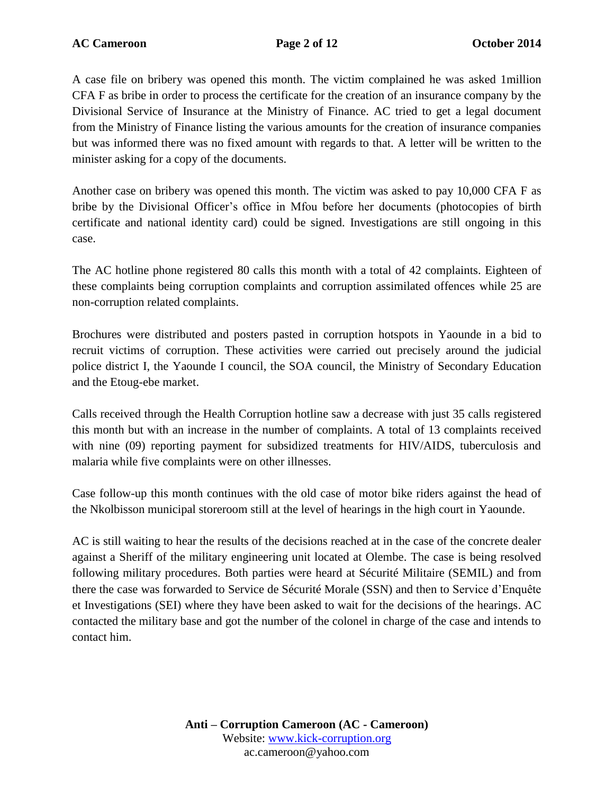A case file on bribery was opened this month. The victim complained he was asked 1million CFA F as bribe in order to process the certificate for the creation of an insurance company by the Divisional Service of Insurance at the Ministry of Finance. AC tried to get a legal document from the Ministry of Finance listing the various amounts for the creation of insurance companies but was informed there was no fixed amount with regards to that. A letter will be written to the minister asking for a copy of the documents.

Another case on bribery was opened this month. The victim was asked to pay 10,000 CFA F as bribe by the Divisional Officer's office in Mfou before her documents (photocopies of birth certificate and national identity card) could be signed. Investigations are still ongoing in this case.

The AC hotline phone registered 80 calls this month with a total of 42 complaints. Eighteen of these complaints being corruption complaints and corruption assimilated offences while 25 are non-corruption related complaints.

Brochures were distributed and posters pasted in corruption hotspots in Yaounde in a bid to recruit victims of corruption. These activities were carried out precisely around the judicial police district I, the Yaounde I council, the SOA council, the Ministry of Secondary Education and the Etoug-ebe market.

Calls received through the Health Corruption hotline saw a decrease with just 35 calls registered this month but with an increase in the number of complaints. A total of 13 complaints received with nine (09) reporting payment for subsidized treatments for HIV/AIDS, tuberculosis and malaria while five complaints were on other illnesses.

Case follow-up this month continues with the old case of motor bike riders against the head of the Nkolbisson municipal storeroom still at the level of hearings in the high court in Yaounde.

AC is still waiting to hear the results of the decisions reached at in the case of the concrete dealer against a Sheriff of the military engineering unit located at Olembe. The case is being resolved following military procedures. Both parties were heard at Sécurité Militaire (SEMIL) and from there the case was forwarded to Service de Sécurité Morale (SSN) and then to Service d'Enquête et Investigations (SEI) where they have been asked to wait for the decisions of the hearings. AC contacted the military base and got the number of the colonel in charge of the case and intends to contact him.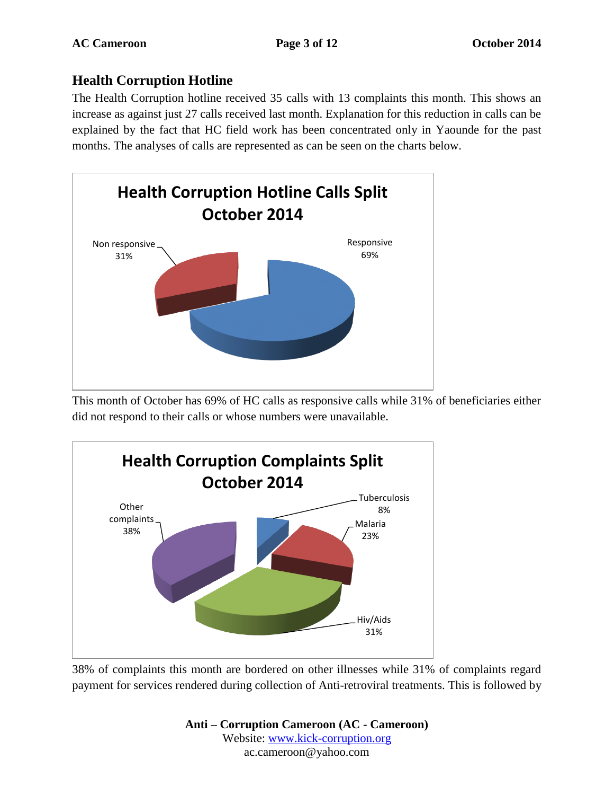#### **Health Corruption Hotline**

The Health Corruption hotline received 35 calls with 13 complaints this month. This shows an increase as against just 27 calls received last month. Explanation for this reduction in calls can be explained by the fact that HC field work has been concentrated only in Yaounde for the past months. The analyses of calls are represented as can be seen on the charts below.



This month of October has 69% of HC calls as responsive calls while 31% of beneficiaries either did not respond to their calls or whose numbers were unavailable.



38% of complaints this month are bordered on other illnesses while 31% of complaints regard payment for services rendered during collection of Anti-retroviral treatments. This is followed by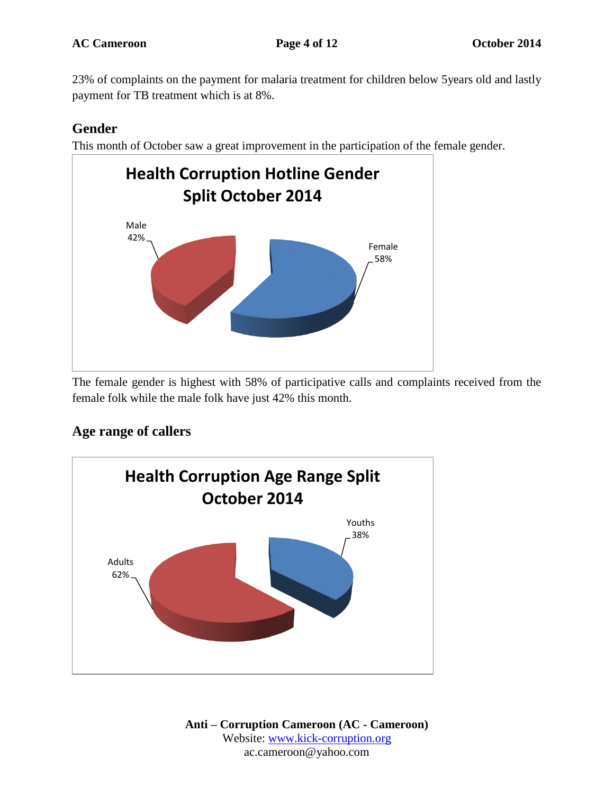23% of complaints on the payment for malaria treatment for children below 5years old and lastly payment for TB treatment which is at 8%.

### **Gender**

This month of October saw a great improvement in the participation of the female gender.



The female gender is highest with 58% of participative calls and complaints received from the female folk while the male folk have just 42% this month.

#### **Age range of callers**

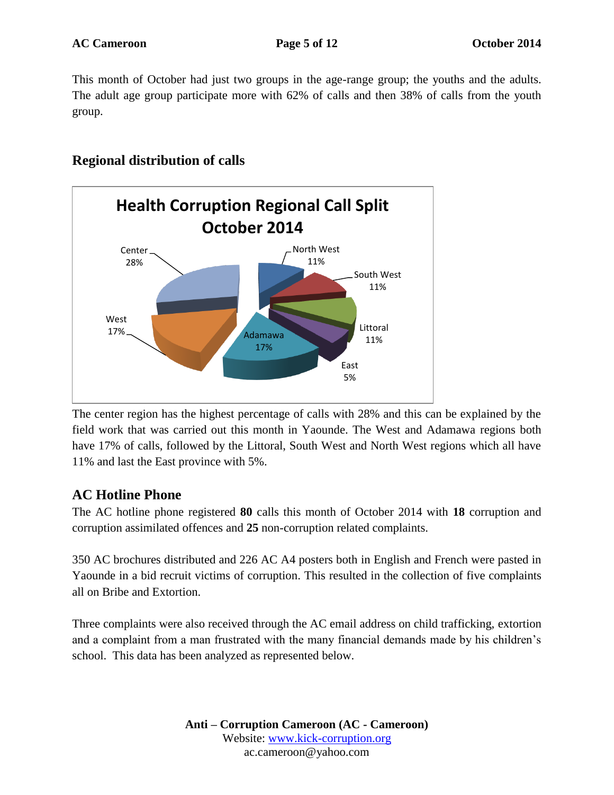This month of October had just two groups in the age-range group; the youths and the adults. The adult age group participate more with 62% of calls and then 38% of calls from the youth group.

#### **Regional distribution of calls**



The center region has the highest percentage of calls with 28% and this can be explained by the field work that was carried out this month in Yaounde. The West and Adamawa regions both have 17% of calls, followed by the Littoral, South West and North West regions which all have 11% and last the East province with 5%.

#### **AC Hotline Phone**

The AC hotline phone registered **80** calls this month of October 2014 with **18** corruption and corruption assimilated offences and **25** non-corruption related complaints.

350 AC brochures distributed and 226 AC A4 posters both in English and French were pasted in Yaounde in a bid recruit victims of corruption. This resulted in the collection of five complaints all on Bribe and Extortion.

Three complaints were also received through the AC email address on child trafficking, extortion and a complaint from a man frustrated with the many financial demands made by his children's school. This data has been analyzed as represented below.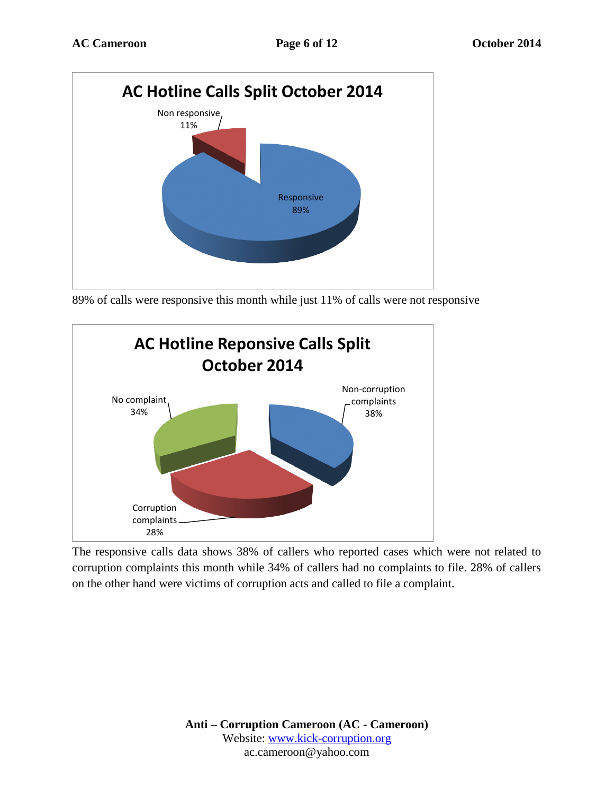

89% of calls were responsive this month while just 11% of calls were not responsive



The responsive calls data shows 38% of callers who reported cases which were not related to corruption complaints this month while 34% of callers had no complaints to file. 28% of callers on the other hand were victims of corruption acts and called to file a complaint.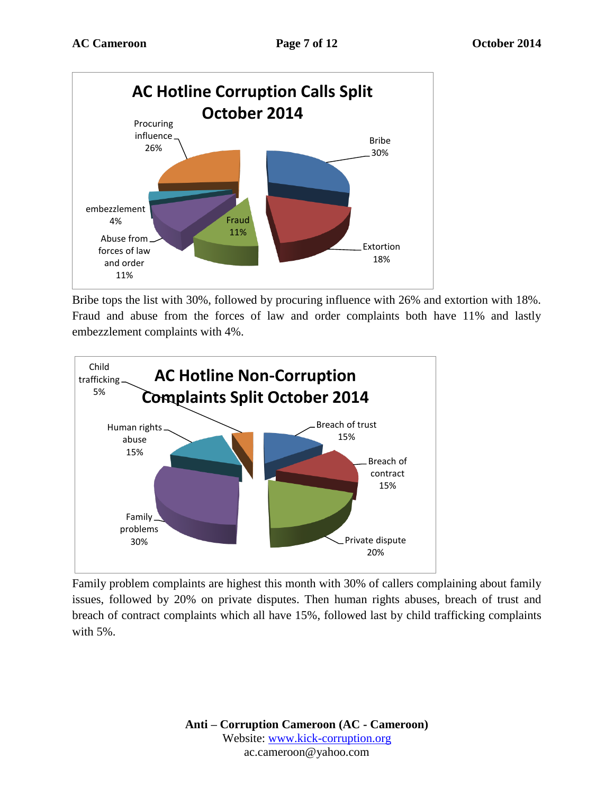

Bribe tops the list with 30%, followed by procuring influence with 26% and extortion with 18%. Fraud and abuse from the forces of law and order complaints both have 11% and lastly embezzlement complaints with 4%.



Family problem complaints are highest this month with 30% of callers complaining about family issues, followed by 20% on private disputes. Then human rights abuses, breach of trust and breach of contract complaints which all have 15%, followed last by child trafficking complaints with 5%.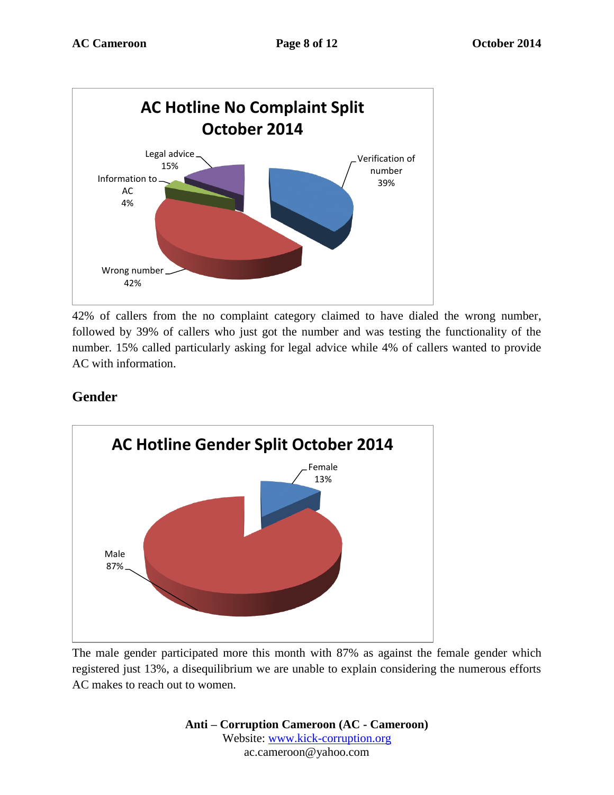

42% of callers from the no complaint category claimed to have dialed the wrong number, followed by 39% of callers who just got the number and was testing the functionality of the number. 15% called particularly asking for legal advice while 4% of callers wanted to provide AC with information.

### **Gender**



The male gender participated more this month with 87% as against the female gender which registered just 13%, a disequilibrium we are unable to explain considering the numerous efforts AC makes to reach out to women.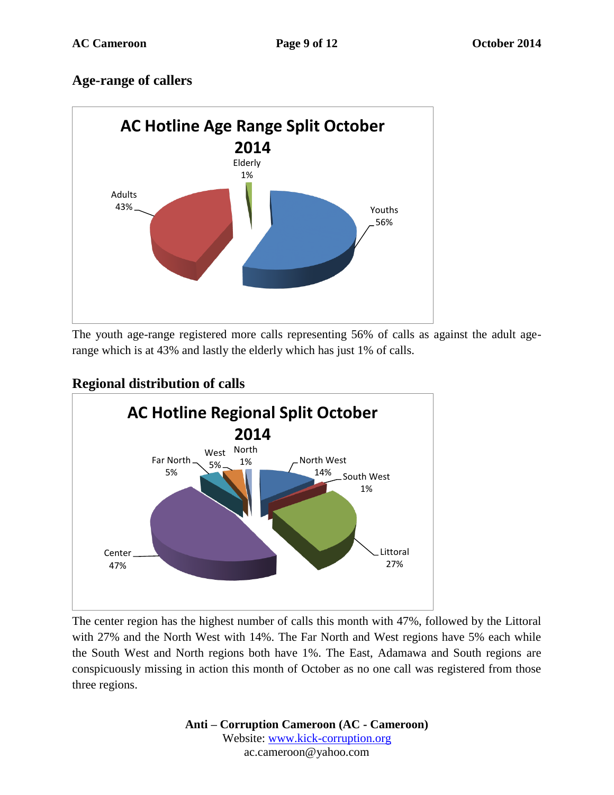### **Age-range of callers**



The youth age-range registered more calls representing 56% of calls as against the adult agerange which is at 43% and lastly the elderly which has just 1% of calls.

# **Regional distribution of calls**



The center region has the highest number of calls this month with 47%, followed by the Littoral with 27% and the North West with 14%. The Far North and West regions have 5% each while the South West and North regions both have 1%. The East, Adamawa and South regions are conspicuously missing in action this month of October as no one call was registered from those three regions.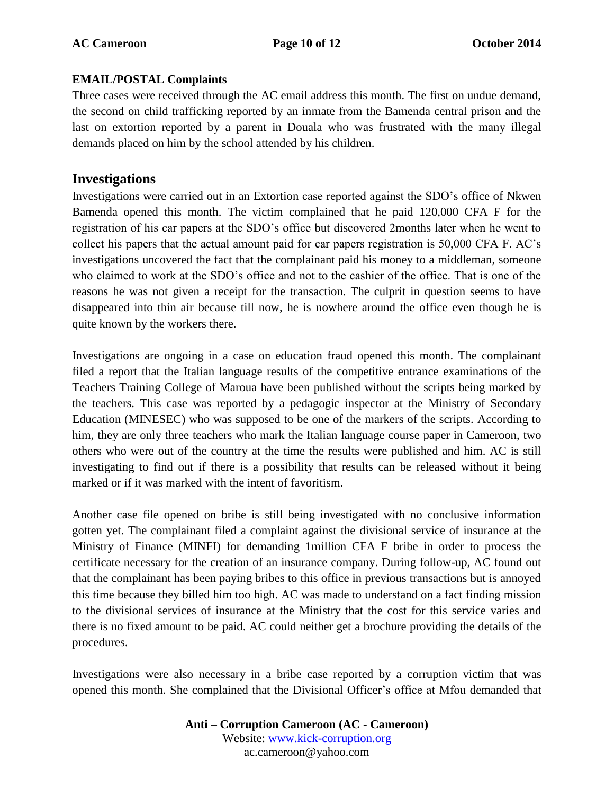#### **EMAIL/POSTAL Complaints**

Three cases were received through the AC email address this month. The first on undue demand, the second on child trafficking reported by an inmate from the Bamenda central prison and the last on extortion reported by a parent in Douala who was frustrated with the many illegal demands placed on him by the school attended by his children.

#### **Investigations**

Investigations were carried out in an Extortion case reported against the SDO's office of Nkwen Bamenda opened this month. The victim complained that he paid 120,000 CFA F for the registration of his car papers at the SDO's office but discovered 2months later when he went to collect his papers that the actual amount paid for car papers registration is 50,000 CFA F. AC's investigations uncovered the fact that the complainant paid his money to a middleman, someone who claimed to work at the SDO's office and not to the cashier of the office. That is one of the reasons he was not given a receipt for the transaction. The culprit in question seems to have disappeared into thin air because till now, he is nowhere around the office even though he is quite known by the workers there.

Investigations are ongoing in a case on education fraud opened this month. The complainant filed a report that the Italian language results of the competitive entrance examinations of the Teachers Training College of Maroua have been published without the scripts being marked by the teachers. This case was reported by a pedagogic inspector at the Ministry of Secondary Education (MINESEC) who was supposed to be one of the markers of the scripts. According to him, they are only three teachers who mark the Italian language course paper in Cameroon, two others who were out of the country at the time the results were published and him. AC is still investigating to find out if there is a possibility that results can be released without it being marked or if it was marked with the intent of favoritism.

Another case file opened on bribe is still being investigated with no conclusive information gotten yet. The complainant filed a complaint against the divisional service of insurance at the Ministry of Finance (MINFI) for demanding 1million CFA F bribe in order to process the certificate necessary for the creation of an insurance company. During follow-up, AC found out that the complainant has been paying bribes to this office in previous transactions but is annoyed this time because they billed him too high. AC was made to understand on a fact finding mission to the divisional services of insurance at the Ministry that the cost for this service varies and there is no fixed amount to be paid. AC could neither get a brochure providing the details of the procedures.

Investigations were also necessary in a bribe case reported by a corruption victim that was opened this month. She complained that the Divisional Officer's office at Mfou demanded that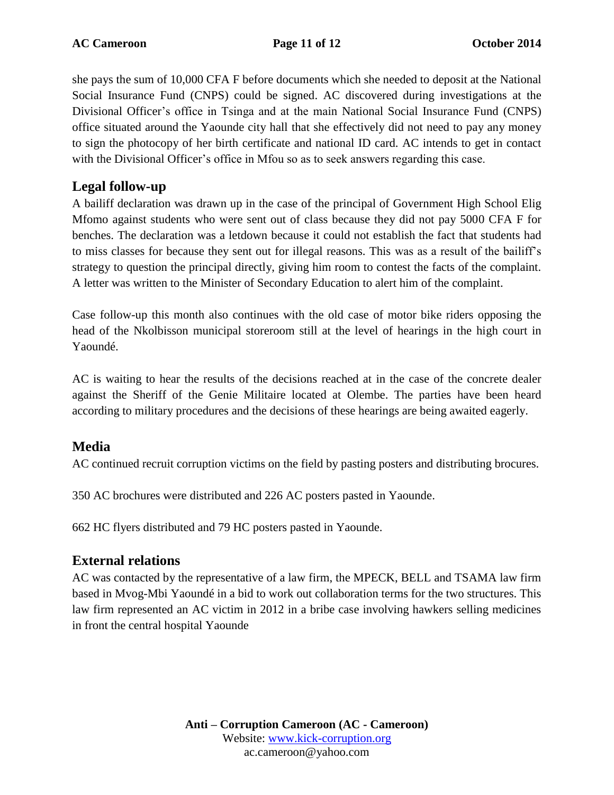she pays the sum of 10,000 CFA F before documents which she needed to deposit at the National Social Insurance Fund (CNPS) could be signed. AC discovered during investigations at the Divisional Officer's office in Tsinga and at the main National Social Insurance Fund (CNPS) office situated around the Yaounde city hall that she effectively did not need to pay any money to sign the photocopy of her birth certificate and national ID card. AC intends to get in contact with the Divisional Officer's office in Mfou so as to seek answers regarding this case.

### **Legal follow-up**

A bailiff declaration was drawn up in the case of the principal of Government High School Elig Mfomo against students who were sent out of class because they did not pay 5000 CFA F for benches. The declaration was a letdown because it could not establish the fact that students had to miss classes for because they sent out for illegal reasons. This was as a result of the bailiff's strategy to question the principal directly, giving him room to contest the facts of the complaint. A letter was written to the Minister of Secondary Education to alert him of the complaint.

Case follow-up this month also continues with the old case of motor bike riders opposing the head of the Nkolbisson municipal storeroom still at the level of hearings in the high court in Yaoundé.

AC is waiting to hear the results of the decisions reached at in the case of the concrete dealer against the Sheriff of the Genie Militaire located at Olembe. The parties have been heard according to military procedures and the decisions of these hearings are being awaited eagerly.

#### **Media**

AC continued recruit corruption victims on the field by pasting posters and distributing brocures.

350 AC brochures were distributed and 226 AC posters pasted in Yaounde.

662 HC flyers distributed and 79 HC posters pasted in Yaounde.

## **External relations**

AC was contacted by the representative of a law firm, the MPECK, BELL and TSAMA law firm based in Mvog-Mbi Yaoundé in a bid to work out collaboration terms for the two structures. This law firm represented an AC victim in 2012 in a bribe case involving hawkers selling medicines in front the central hospital Yaounde